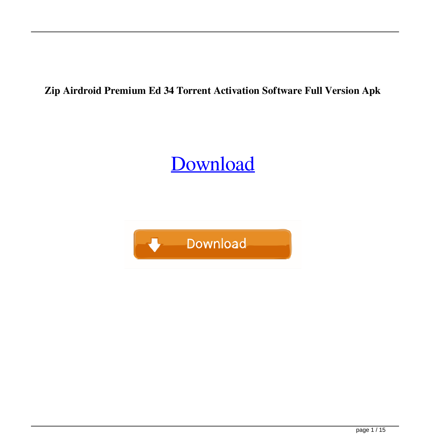## **Zip Airdroid Premium Ed 34 Torrent Activation Software Full Version Apk**

## [Download](http://evacdir.com/shove/sophia/athalon/?bios=ZG93bmxvYWR8MlJaWW1VMGZId3hOalV5TnpRd09EWTJmSHd5TlRjMGZId29UU2tnY21WaFpDMWliRzluSUZ0R1lYTjBJRWRGVGww&YWlyZHJvaWQgcHJlbWl1bSBjcmFja2VkIGFwayAzNAYWl=rehmannia)

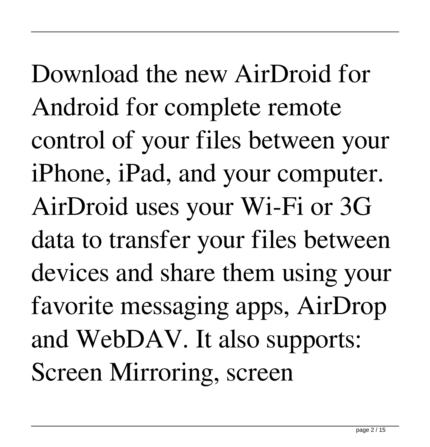Download the new AirDroid for Android for complete remote control of your files between your iPhone, iPad, and your computer. AirDroid uses your Wi-Fi or 3G data to transfer your files between devices and share them using your favorite messaging apps, AirDrop and WebDAV. It also supports: Screen Mirroring, screen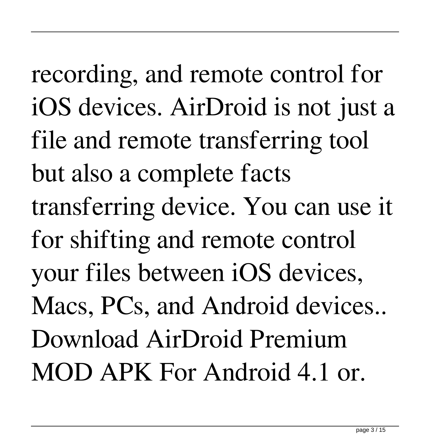recording, and remote control for iOS devices. AirDroid is not just a file and remote transferring tool but also a complete facts transferring device. You can use it for shifting and remote control your files between iOS devices, Macs, PCs, and Android devices.. Download AirDroid Premium MOD APK For Android 4.1 or.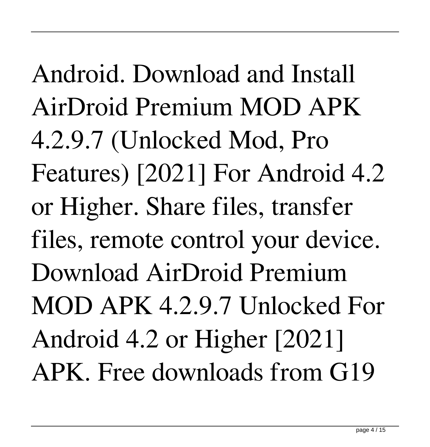Android. Download and Install AirDroid Premium MOD APK 4.2.9.7 (Unlocked Mod, Pro Features) [2021] For Android 4.2 or Higher. Share files, transfer files, remote control your device. Download AirDroid Premium MOD APK 4.2.9.7 Unlocked For Android 4.2 or Higher [2021] APK. Free downloads from G19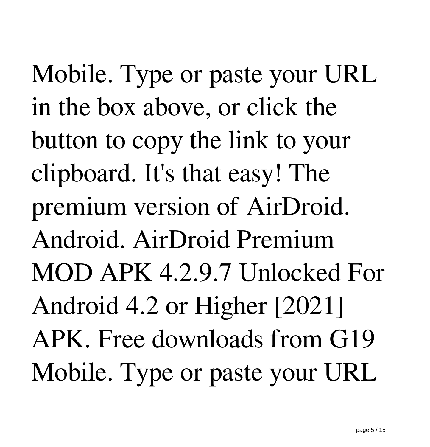Mobile. Type or paste your URL in the box above, or click the button to copy the link to your clipboard. It's that easy! The premium version of AirDroid. Android. AirDroid Premium MOD APK 4.2.9.7 Unlocked For Android 4.2 or Higher [2021] APK. Free downloads from G19 Mobile. Type or paste your URL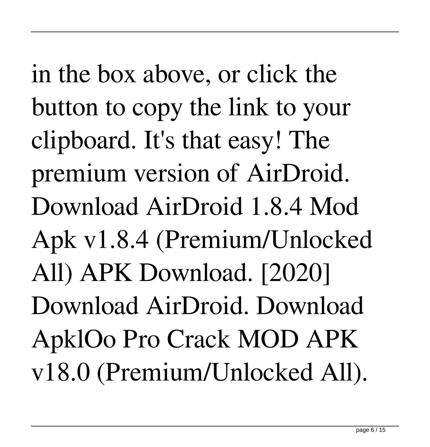in the box above, or click the button to copy the link to your clipboard. It's that easy! The premium version of AirDroid. Download AirDroid 1.8.4 Mod Apk v1.8.4 (Premium/Unlocked All) APK Download. [2020] Download AirDroid. Download ApklOo Pro Crack MOD APK v18.0 (Premium/Unlocked All).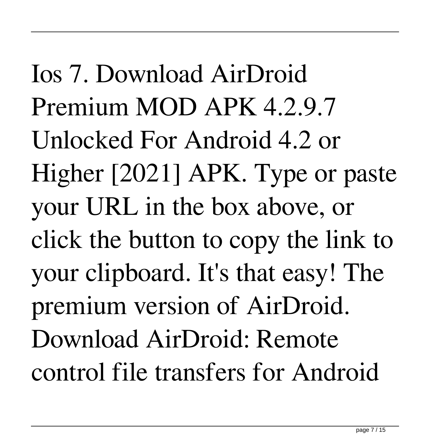Ios 7. Download AirDroid Premium MOD APK 4.2.9.7 Unlocked For Android 4.2 or Higher [2021] APK. Type or paste your URL in the box above, or click the button to copy the link to your clipboard. It's that easy! The premium version of AirDroid. Download AirDroid: Remote control file transfers for Android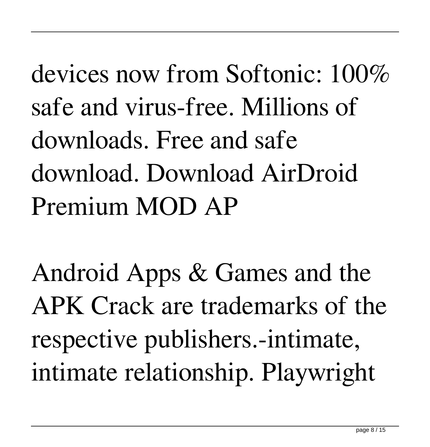devices now from Softonic: 100% safe and virus-free. Millions of downloads. Free and safe download. Download AirDroid Premium MOD AP

Android Apps & Games and the APK Crack are trademarks of the respective publishers.-intimate, intimate relationship. Playwright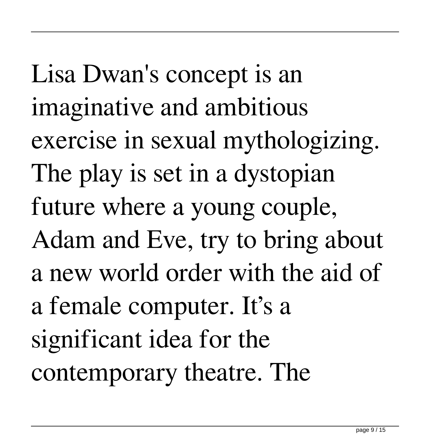Lisa Dwan's concept is an imaginative and ambitious exercise in sexual mythologizing. The play is set in a dystopian future where a young couple, Adam and Eve, try to bring about a new world order with the aid of a female computer. It's a significant idea for the contemporary theatre. The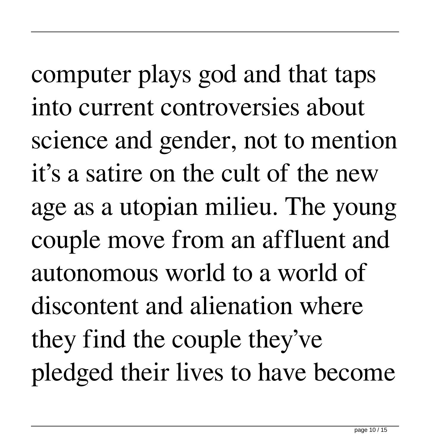computer plays god and that taps into current controversies about science and gender, not to mention it's a satire on the cult of the new age as a utopian milieu. The young couple move from an affluent and autonomous world to a world of discontent and alienation where they find the couple they've pledged their lives to have become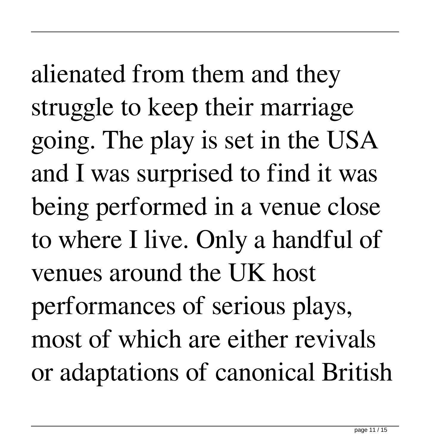alienated from them and they struggle to keep their marriage going. The play is set in the USA and I was surprised to find it was being performed in a venue close to where I live. Only a handful of venues around the UK host performances of serious plays, most of which are either revivals or adaptations of canonical British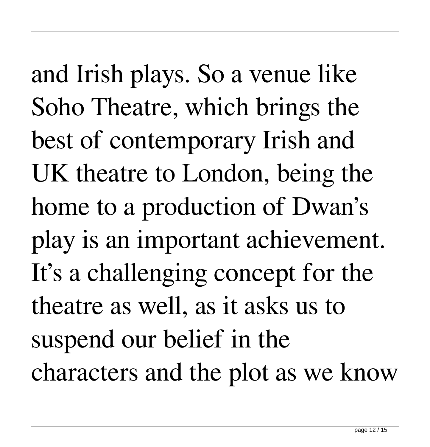and Irish plays. So a venue like Soho Theatre, which brings the best of contemporary Irish and UK theatre to London, being the home to a production of Dwan's play is an important achievement. It's a challenging concept for the theatre as well, as it asks us to suspend our belief in the characters and the plot as we know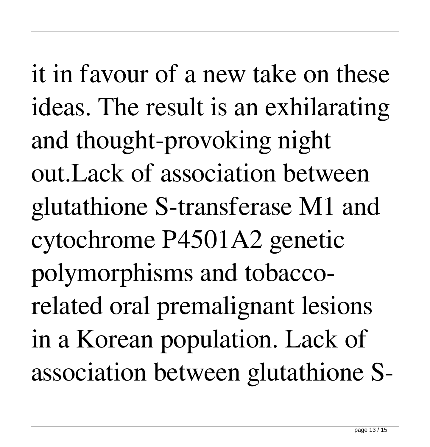it in favour of a new take on these ideas. The result is an exhilarating and thought-provoking night out.Lack of association between glutathione S-transferase M1 and cytochrome P4501A2 genetic polymorphisms and tobaccorelated oral premalignant lesions in a Korean population. Lack of association between glutathione S-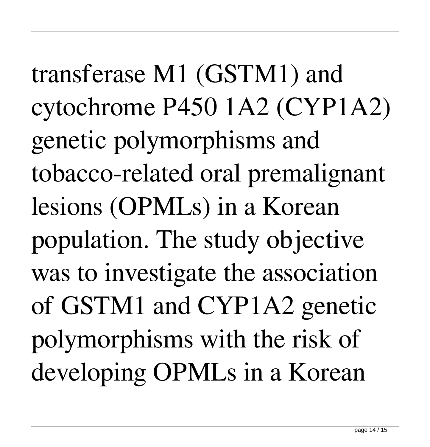transferase M1 (GSTM1) and cytochrome P450 1A2 (CYP1A2) genetic polymorphisms and tobacco-related oral premalignant lesions (OPMLs) in a Korean population. The study objective was to investigate the association of GSTM1 and CYP1A2 genetic polymorphisms with the risk of developing OPMLs in a Korean